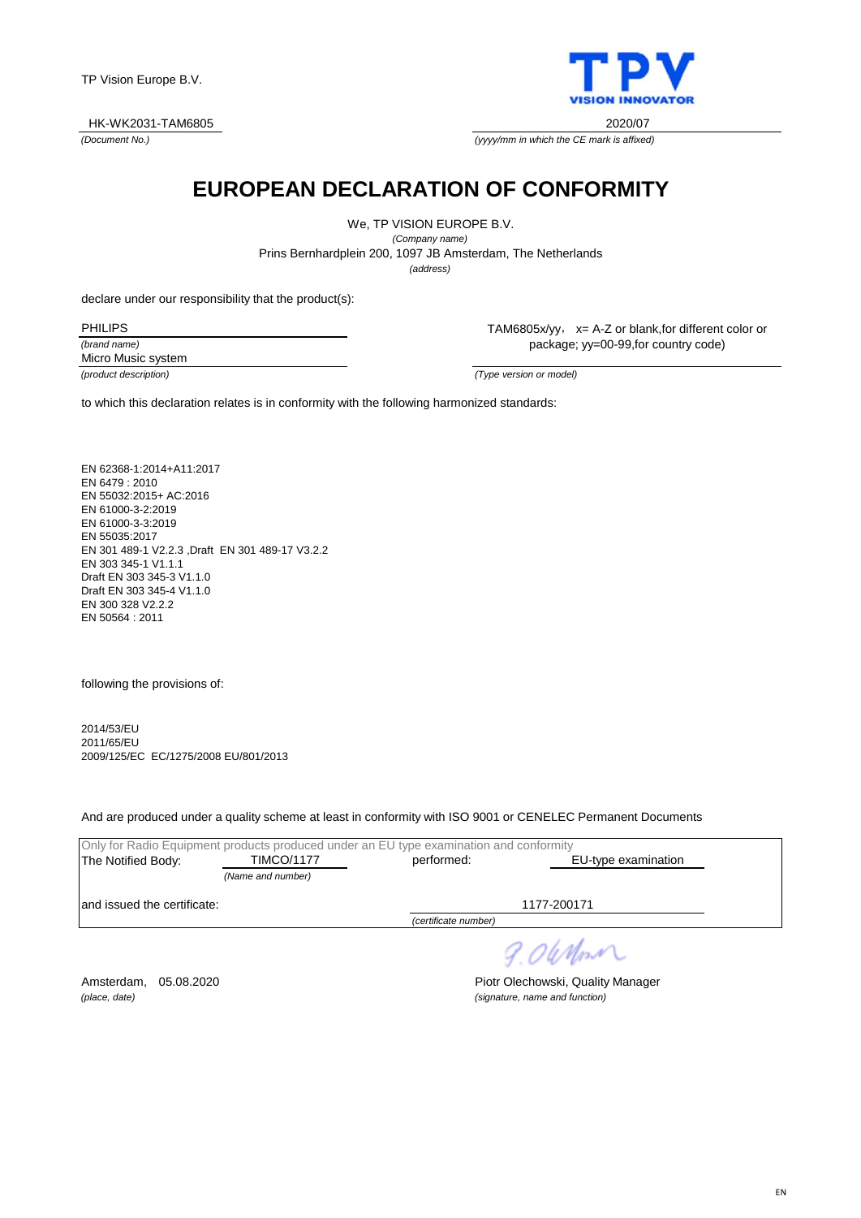

*(Document No.)*



*(yyyy/mm in which the CE mark is affixed)*

## **EUROPEAN DECLARATION OF CONFORMITY**

We, TP VISION EUROPE B.V. *(Company name)* Prins Bernhardplein 200, 1097 JB Amsterdam, The Netherlands

*(address)*

declare under our responsibility that the product(s):

*(brand name)* PHILIPS

TAM6805x/yy, x= A-Z or blank,for different color or package; yy=00-99,for country code)

Micro Music system

*(product description) (Type version or model)*

to which this declaration relates is in conformity with the following harmonized standards:

EN 62368-1:2014+A11:2017 EN 6479 : 2010 EN 55032:2015+ AC:2016 EN 61000-3-2:2019 EN 61000-3-3:2019 EN 55035:2017 EN 301 489-1 V2.2.3 ,Draft EN 301 489-17 V3.2.2 EN 303 345-1 V1.1.1 Draft EN 303 345-3 V1.1.0 Draft EN 303 345-4 V1.1.0 EN 300 328 V2.2.2 EN 50564 : 2011

following the provisions of:

2014/53/EU 2011/65/EU 2009/125/EC EC/1275/2008 EU/801/2013

And are produced under a quality scheme at least in conformity with ISO 9001 or CENELEC Permanent Documents

|                              | Only for Radio Equipment products produced under an EU type examination and conformity |                      |                     |
|------------------------------|----------------------------------------------------------------------------------------|----------------------|---------------------|
| The Notified Body:           | <b>TIMCO/1177</b>                                                                      | performed:           | EU-type examination |
|                              | (Name and number)                                                                      |                      |                     |
| land issued the certificate: |                                                                                        |                      | 1177-200171         |
|                              |                                                                                        | (certificate number) |                     |

9.06 Nom

Amsterdam, 05.08.2020 **Piotr Olechowski, Quality Manager** *(place, date) (signature, name and function)*

EN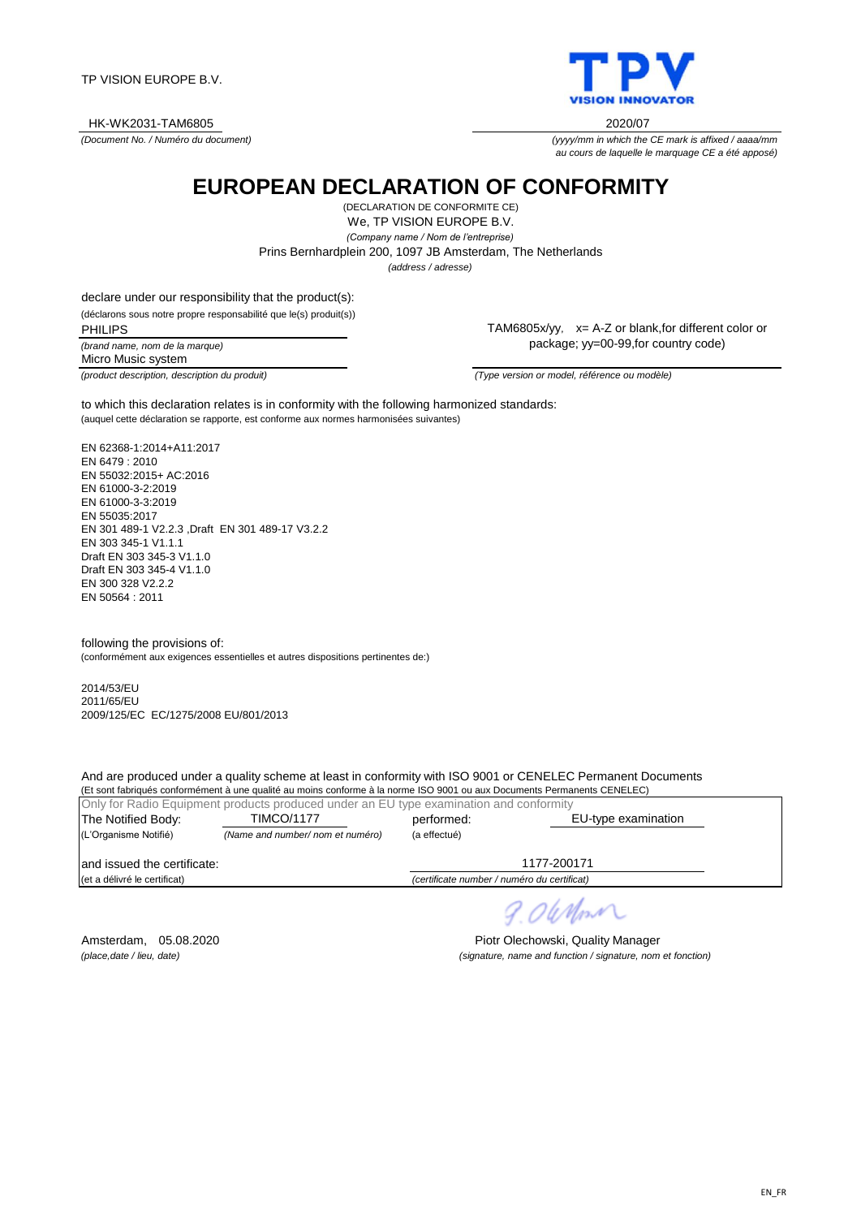TP VISION EUROPE B.V.

HK-WK2031-TAM6805 2020/07

*(Document No. / Numéro du document)*

**EUROPEAN DECLARATION OF CONFORMITY**

We, TP VISION EUROPE B.V. *(Company name / Nom de l'entreprise)* (DECLARATION DE CONFORMITE CE) *(address / adresse)* Prins Bernhardplein 200, 1097 JB Amsterdam, The Netherlands

declare under our responsibility that the product(s):

(déclarons sous notre propre responsabilité que le(s) produit(s))

*(brand name, nom de la marque)* PHILIPS Micro Music system

TAM6805x/yy, x= A-Z or blank,for different color or package; yy=00-99,for country code)

*(product description, description du produit) (Type version or model, référence ou modèle)*

(auquel cette déclaration se rapporte, est conforme aux normes harmonisées suivantes) to which this declaration relates is in conformity with the following harmonized standards:

EN 62368-1:2014+A11:2017 EN 6479 : 2010 EN 55032:2015+ AC:2016 EN 61000-3-2:2019 EN 61000-3-3:2019 EN 55035:2017 EN 301 489-1 V2.2.3 ,Draft EN 301 489-17 V3.2.2 EN 303 345-1 V1.1.1 Draft EN 303 345-3 V1.1.0 Draft FN 303 345-4 V1 1.0 EN 300 328 V2.2.2 EN 50564 : 2011

following the provisions of: (conformément aux exigences essentielles et autres dispositions pertinentes de:)

2014/53/EU 2011/65/EU 2009/125/EC EC/1275/2008 EU/801/2013

And are produced under a quality scheme at least in conformity with ISO 9001 or CENELEC Permanent Documents

(Et sont fabriqués conformément à une qualité au moins conforme à la norme ISO 9001 ou aux Documents Permanents CENELEC) Only for Radio Equipment products produced under an EU type examination and conformity The Notified Body: TIMCO/1177 berformed: (L'Organisme Notifié) *(Name and number/ nom et numéro)* (a effectué) and issued the certificate: (et a délivré le certificat) *(certificate number / numéro du certificat)* 1177-200171 TIMCO/1177 EU-type examination

*(place,date / lieu, date) (signature, name and function / signature, nom et fonction)*

Amsterdam, 05.08.2020 **Piotr Olechowski, Quality Manager** 

 $24$  Mont



*(yyyy/mm in which the CE mark is affixed / aaaa/mm*

*au cours de laquelle le marquage CE a été apposé)*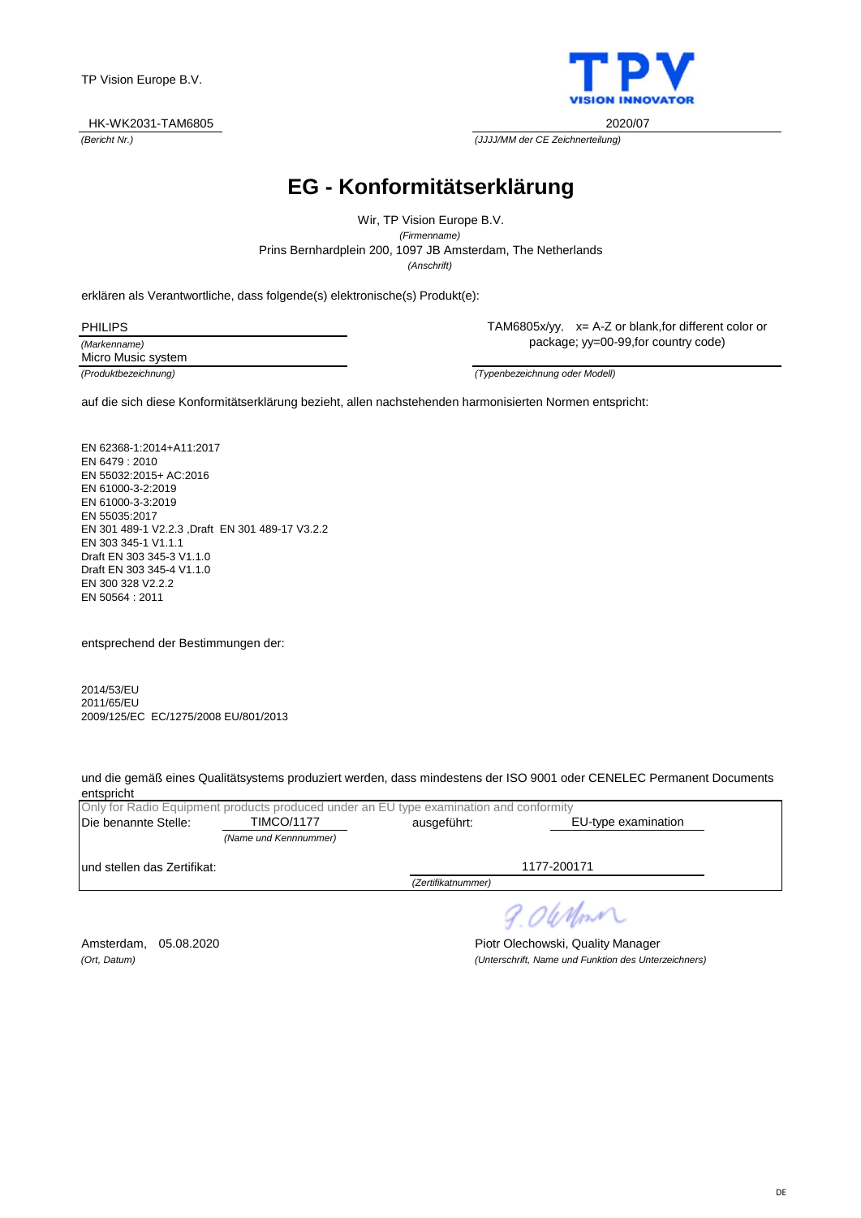

*(Bericht Nr.) (JJJJ/MM der CE Zeichnerteilung)*

# **EG - Konformitätserklärung**

Prins Bernhardplein 200, 1097 JB Amsterdam, The Netherlands Wir, TP Vision Europe B.V. *(Firmenname) (Anschrift)*

erklären als Verantwortliche, dass folgende(s) elektronische(s) Produkt(e):

| <b>PHILIPS</b>     |  |
|--------------------|--|
| (Markenname)       |  |
| Micro Music system |  |

TAM6805x/yy, x= A-Z or blank,for different color or package; yy=00-99,for country code)

*(Produktbezeichnung) (Typenbezeichnung oder Modell)*

auf die sich diese Konformitätserklärung bezieht, allen nachstehenden harmonisierten Normen entspricht:

EN 62368-1:2014+A11:2017 EN 6479 : 2010 EN 55032:2015+ AC:2016 EN 61000-3-2:2019 EN 61000-3-3:2019 EN 55035:2017 EN 301 489-1 V2.2.3 ,Draft EN 301 489-17 V3.2.2 EN 303 345-1 V1.1.1 Draft EN 303 345-3 V1.1.0 Draft EN 303 345-4 V1.1.0 EN 300 328 V2.2.2 EN 50564 : 2011

entsprechend der Bestimmungen der:

2014/53/EU 2011/65/EU 2009/125/EC EC/1275/2008 EU/801/2013

und die gemäß eines Qualitätsystems produziert werden, dass mindestens der ISO 9001 oder CENELEC Permanent Documents entspricht

|                              | Only for Radio Equipment products produced under an EU type examination and conformity |                    |                     |
|------------------------------|----------------------------------------------------------------------------------------|--------------------|---------------------|
| Die benannte Stelle:         | <b>TIMCO/1177</b>                                                                      | ausgeführt:        | EU-type examination |
|                              | (Name und Kennnummer)                                                                  |                    |                     |
| lund stellen das Zertifikat: |                                                                                        |                    | 1177-200171         |
|                              |                                                                                        | (Zertifikatnummer) |                     |
|                              |                                                                                        |                    |                     |

9.06 Nm

Amsterdam, 05.08.2020 **Piotr Olechowski, Quality Manager** *(Ort, Datum) (Unterschrift, Name und Funktion des Unterzeichners)*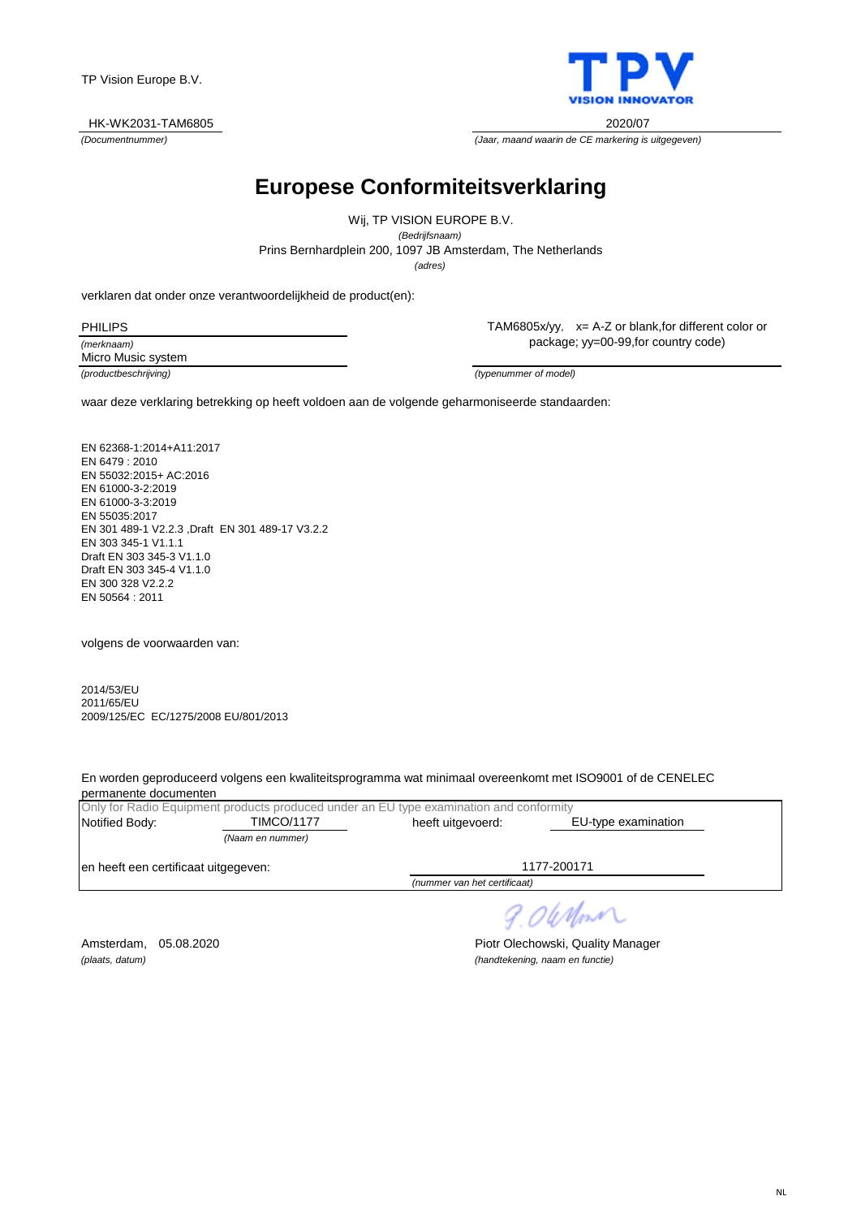

*(Documentnummer) (Jaar, maand waarin de CE markering is uitgegeven)*

## **Europese Conformiteitsverklaring**

*(adres)* Prins Bernhardplein 200, 1097 JB Amsterdam, The Netherlands Wij, TP VISION EUROPE B.V. *(Bedrijfsnaam)*

verklaren dat onder onze verantwoordelijkheid de product(en):

*(merknaam)* PHILIPS

TAM6805x/yy, x= A-Z or blank,for different color or package; yy=00-99,for country code)

Micro Music system

*(productbeschrijving) (typenummer of model)*

waar deze verklaring betrekking op heeft voldoen aan de volgende geharmoniseerde standaarden:

EN 62368-1:2014+A11:2017 EN 6479 : 2010 EN 55032:2015+ AC:2016 EN 61000-3-2:2019 EN 61000-3-3:2019 EN 55035:2017 EN 301 489-1 V2.2.3 ,Draft EN 301 489-17 V3.2.2 EN 303 345-1 V1.1.1 Draft EN 303 345-3 V1.1.0 Draft EN 303 345-4 V1.1.0 EN 300 328 V2.2.2 EN 50564 : 2011

volgens de voorwaarden van:

2014/53/EU 2011/65/EU 2009/125/EC EC/1275/2008 EU/801/2013

En worden geproduceerd volgens een kwaliteitsprogramma wat minimaal overeenkomt met ISO9001 of de CENELEC permanente documenten

|                                      |                   | Only for Radio Equipment products produced under an EU type examination and conformity |                     |
|--------------------------------------|-------------------|----------------------------------------------------------------------------------------|---------------------|
| Notified Body:                       | <b>TIMCO/1177</b> | heeft uitgevoerd:                                                                      | EU-type examination |
|                                      | (Naam en nummer)  |                                                                                        |                     |
| en heeft een certificaat uitgegeven: |                   |                                                                                        | 1177-200171         |
|                                      |                   | (nummer van het certificaat)                                                           |                     |

9.06 Nm

Amsterdam, 05.08.2020 **Piotr Olechowski, Quality Manager** *(plaats, datum) (handtekening, naam en functie)*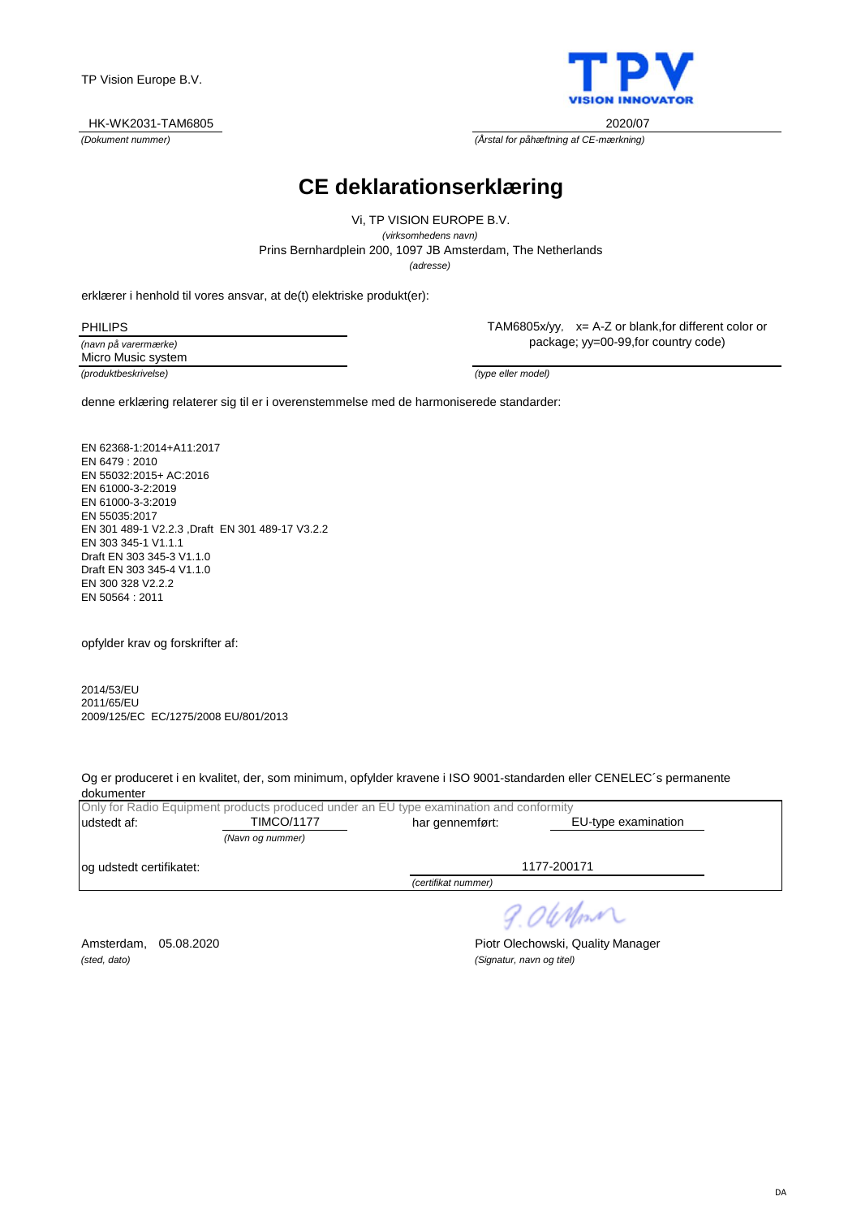

*(Dokument nummer) (Årstal for påhæftning af CE-mærkning)*

## **CE deklarationserklæring**

Prins Bernhardplein 200, 1097 JB Amsterdam, The Netherlands Vi, TP VISION EUROPE B.V. *(virksomhedens navn) (adresse)*

erklærer i henhold til vores ansvar, at de(t) elektriske produkt(er):

| <b>PHILIPS</b>       |
|----------------------|
| (navn på varermærke) |
| .<br>. .             |

*(produktbeskrivelse) (type eller model)* Micro Music system

TAM6805x/yy, x= A-Z or blank,for different color or package; yy=00-99,for country code)

denne erklæring relaterer sig til er i overenstemmelse med de harmoniserede standarder:

EN 62368-1:2014+A11:2017 EN 6479 : 2010 EN 55032:2015+ AC:2016 EN 61000-3-2:2019 EN 61000-3-3:2019 EN 55035:2017 EN 301 489-1 V2.2.3 ,Draft EN 301 489-17 V3.2.2 EN 303 345-1 V1.1.1 Draft EN 303 345-3 V1.1.0 Draft EN 303 345-4 V1.1.0 EN 300 328 V2.2.2 EN 50564 : 2011

opfylder krav og forskrifter af:

2014/53/EU 2011/65/EU 2009/125/EC EC/1275/2008 EU/801/2013

Og er produceret i en kvalitet, der, som minimum, opfylder kravene i ISO 9001-standarden eller CENELEC´s permanente dokumenter

|                           |                   | Only for Radio Equipment products produced under an EU type examination and conformity |                     |  |
|---------------------------|-------------------|----------------------------------------------------------------------------------------|---------------------|--|
| udstedt af:               | <b>TIMCO/1177</b> | har gennemført:                                                                        | EU-type examination |  |
|                           | (Navn og nummer)  |                                                                                        |                     |  |
|                           |                   |                                                                                        | 1177-200171         |  |
|                           |                   | (certifikat nummer)                                                                    |                     |  |
| log udstedt certifikatet: |                   |                                                                                        |                     |  |

9.06 Nm

*(sted, dato) (Signatur, navn og titel)*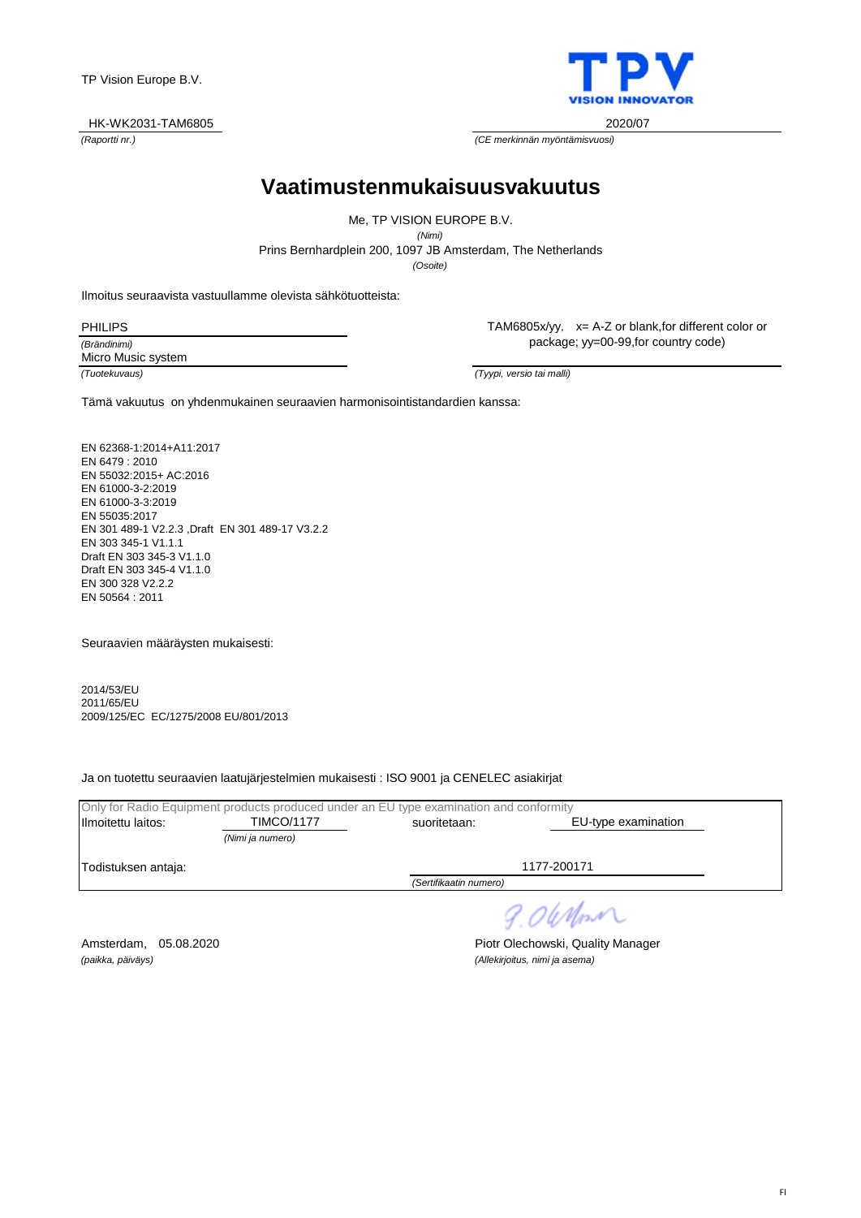TP Vision Europe B.V.

#### HK-WK2031-TAM6805 2020/07

**Vaatimustenmukaisuusvakuutus**

Prins Bernhardplein 200, 1097 JB Amsterdam, The Netherlands Me, TP VISION EUROPE B.V. *(Nimi) (Osoite)*

Ilmoitus seuraavista vastuullamme olevista sähkötuotteista:

*(Brändinimi)* PHILIPS

Micro Music system

TAM6805x/yy, x= A-Z or blank,for different color or package; yy=00-99,for country code)

*(Tuotekuvaus) (Tyypi, versio tai malli)*

Tämä vakuutus on yhdenmukainen seuraavien harmonisointistandardien kanssa:

EN 62368-1:2014+A11:2017 EN 6479 : 2010 EN 55032:2015+ AC:2016 EN 61000-3-2:2019 EN 61000-3-3:2019 EN 55035:2017 EN 301 489-1 V2.2.3 ,Draft EN 301 489-17 V3.2.2 EN 303 345-1 V1.1.1 Draft EN 303 345-3 V1.1.0 Draft EN 303 345-4 V1.1.0 EN 300 328 V2.2.2 EN 50564 : 2011

Seuraavien määräysten mukaisesti:

2014/53/EU 2011/65/EU 2009/125/EC EC/1275/2008 EU/801/2013

Ja on tuotettu seuraavien laatujärjestelmien mukaisesti : ISO 9001 ja CENELEC asiakirjat

|                     | Only for Radio Equipment products produced under an EU type examination and conformity |                        |                     |  |
|---------------------|----------------------------------------------------------------------------------------|------------------------|---------------------|--|
| Ilmoitettu laitos:  | <b>TIMCO/1177</b>                                                                      | suoritetaan:           | EU-type examination |  |
|                     | (Nimi ja numero)                                                                       |                        |                     |  |
| Todistuksen antaja: |                                                                                        |                        | 1177-200171         |  |
|                     |                                                                                        | (Sertifikaatin numero) |                     |  |
|                     |                                                                                        |                        |                     |  |

9.06 Nm

*(paikka, päiväys) (Allekirjoitus, nimi ja asema)*

Amsterdam, 05.08.2020 **Piotr Olechowski, Quality Manager** 



*(Raportti nr.) (CE merkinnän myöntämisvuosi)*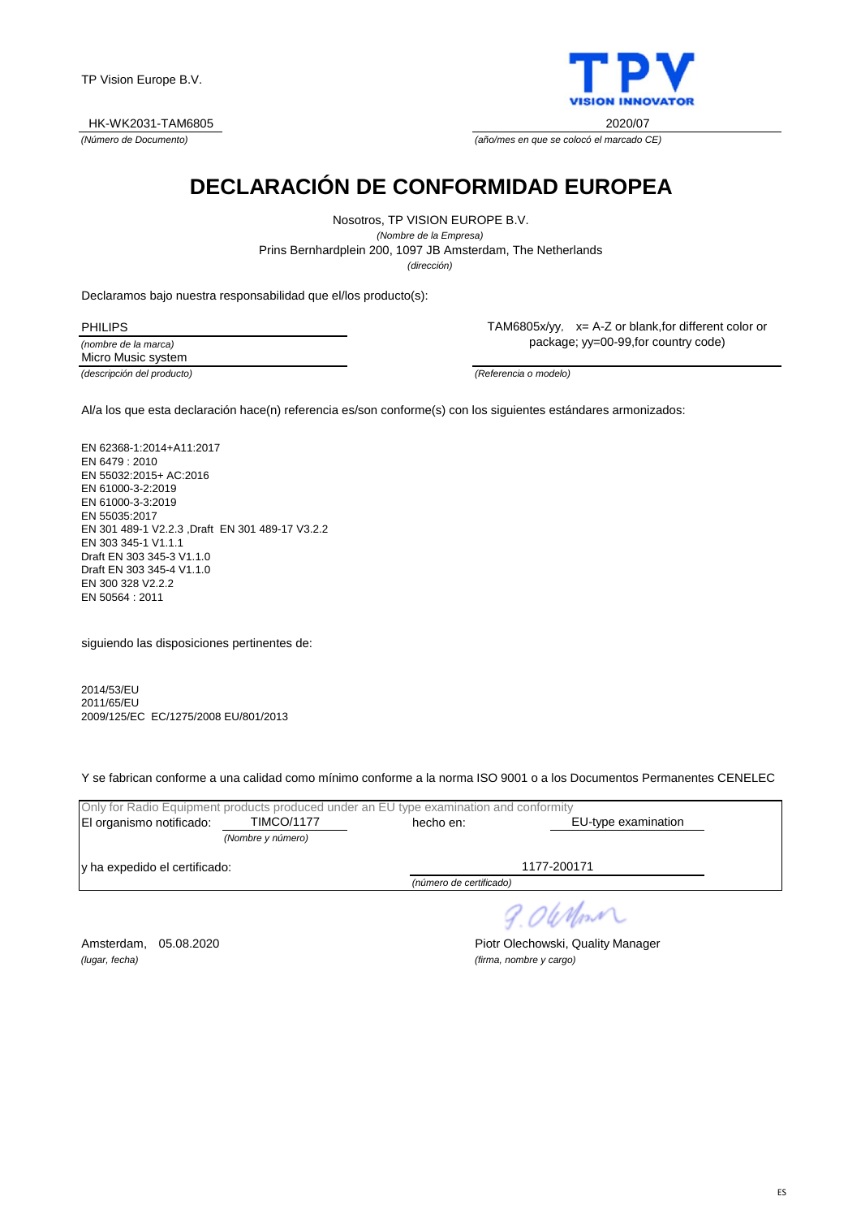



*(Número de Documento) (año/mes en que se colocó el marcado CE)*

## **DECLARACIÓN DE CONFORMIDAD EUROPEA**

Prins Bernhardplein 200, 1097 JB Amsterdam, The Netherlands Nosotros, TP VISION EUROPE B.V. *(Nombre de la Empresa) (dirección)*

Declaramos bajo nuestra responsabilidad que el/los producto(s):

*(nombre de la marca) (descripción del producto) (Referencia o modelo)* PHILIPS Micro Music system

TAM6805x/yy, x= A-Z or blank,for different color or package; yy=00-99,for country code)

Al/a los que esta declaración hace(n) referencia es/son conforme(s) con los siguientes estándares armonizados:

EN 62368-1:2014+A11:2017 EN 6479 : 2010 EN 55032:2015+ AC:2016 EN 61000-3-2:2019 EN 61000-3-3:2019 EN 55035:2017 EN 301 489-1 V2.2.3 ,Draft EN 301 489-17 V3.2.2 EN 303 345-1 V1.1.1 Draft EN 303 345-3 V1.1.0 Draft EN 303 345-4 V1.1.0 EN 300 328 V2.2.2 EN 50564 : 2011

siguiendo las disposiciones pertinentes de:

2014/53/EU 2011/65/EU 2009/125/EC EC/1275/2008 EU/801/2013

Y se fabrican conforme a una calidad como mínimo conforme a la norma ISO 9001 o a los Documentos Permanentes CENELEC

| Only for Radio Equipment products produced under an EU type examination and conformity |                   |                         |                     |  |
|----------------------------------------------------------------------------------------|-------------------|-------------------------|---------------------|--|
| El organismo notificado:                                                               | <b>TIMCO/1177</b> | hecho en:               | EU-type examination |  |
|                                                                                        | (Nombre y número) |                         |                     |  |
| y ha expedido el certificado:                                                          |                   |                         | 1177-200171         |  |
|                                                                                        |                   | (número de certificado) |                     |  |

9.06 Mon

*(lugar, fecha) (firma, nombre y cargo)*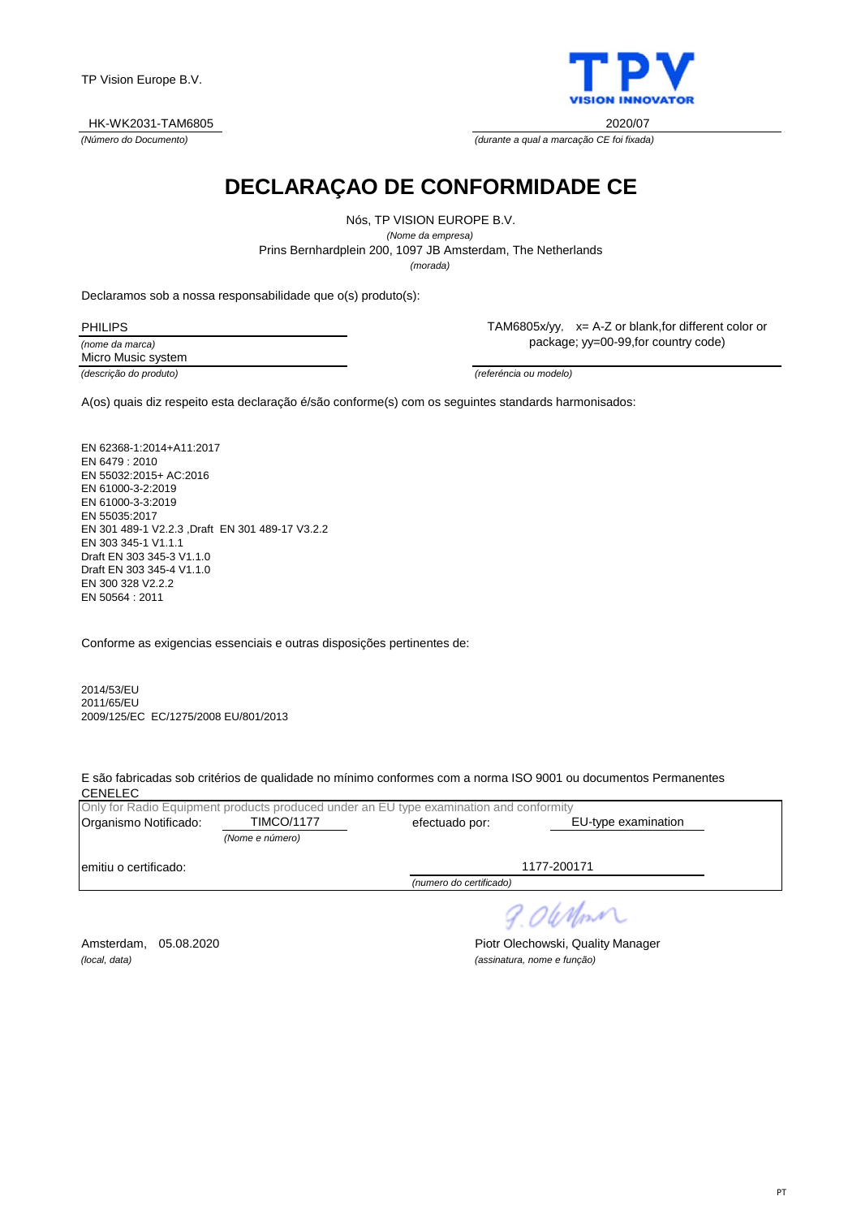TP Vision Europe B.V.

#### HK-WK2031-TAM6805 2020/07

*(Número do Documento) (durante a qual a marcação CE foi fixada)*

**DECLARAÇAO DE CONFORMIDADE CE**

Nós, TP VISION EUROPE B.V. *(Nome da empresa)* Prins Bernhardplein 200, 1097 JB Amsterdam, The Netherlands *(morada)*

Declaramos sob a nossa responsabilidade que o(s) produto(s):

*(nome da marca)* PHILIPS Micro Music system

*(descrição do produto) (referéncia ou modelo)*

TAM6805x/yy, x= A-Z or blank,for different color or package; yy=00-99,for country code)

A(os) quais diz respeito esta declaração é/são conforme(s) com os seguintes standards harmonisados:

EN 62368-1:2014+A11:2017 EN 6479 : 2010 EN 55032:2015+ AC:2016 EN 61000-3-2:2019 EN 61000-3-3:2019 EN 55035:2017 EN 301 489-1 V2.2.3 ,Draft EN 301 489-17 V3.2.2 EN 303 345-1 V1.1.1 Draft EN 303 345-3 V1.1.0 Draft EN 303 345-4 V1.1.0 EN 300 328 V2.2.2 EN 50564 : 2011

Conforme as exigencias essenciais e outras disposições pertinentes de:

2014/53/EU 2011/65/EU 2009/125/EC EC/1275/2008 EU/801/2013

E são fabricadas sob critérios de qualidade no mínimo conformes com a norma ISO 9001 ou documentos Permanentes **CENELEC** 

|                       |                   | Only for Radio Equipment products produced under an EU type examination and conformity |                     |  |
|-----------------------|-------------------|----------------------------------------------------------------------------------------|---------------------|--|
| Organismo Notificado: | <b>TIMCO/1177</b> | efectuado por:                                                                         | EU-type examination |  |
|                       | (Nome e número)   |                                                                                        |                     |  |
| emitiu o certificado: |                   |                                                                                        | 1177-200171         |  |
|                       |                   | (numero do certificado)                                                                |                     |  |

Amsterdam, 05.08.2020 **Piotr Olechowski, Quality Manager** *(local, data) (assinatura, nome e função)*

9.06 Mont

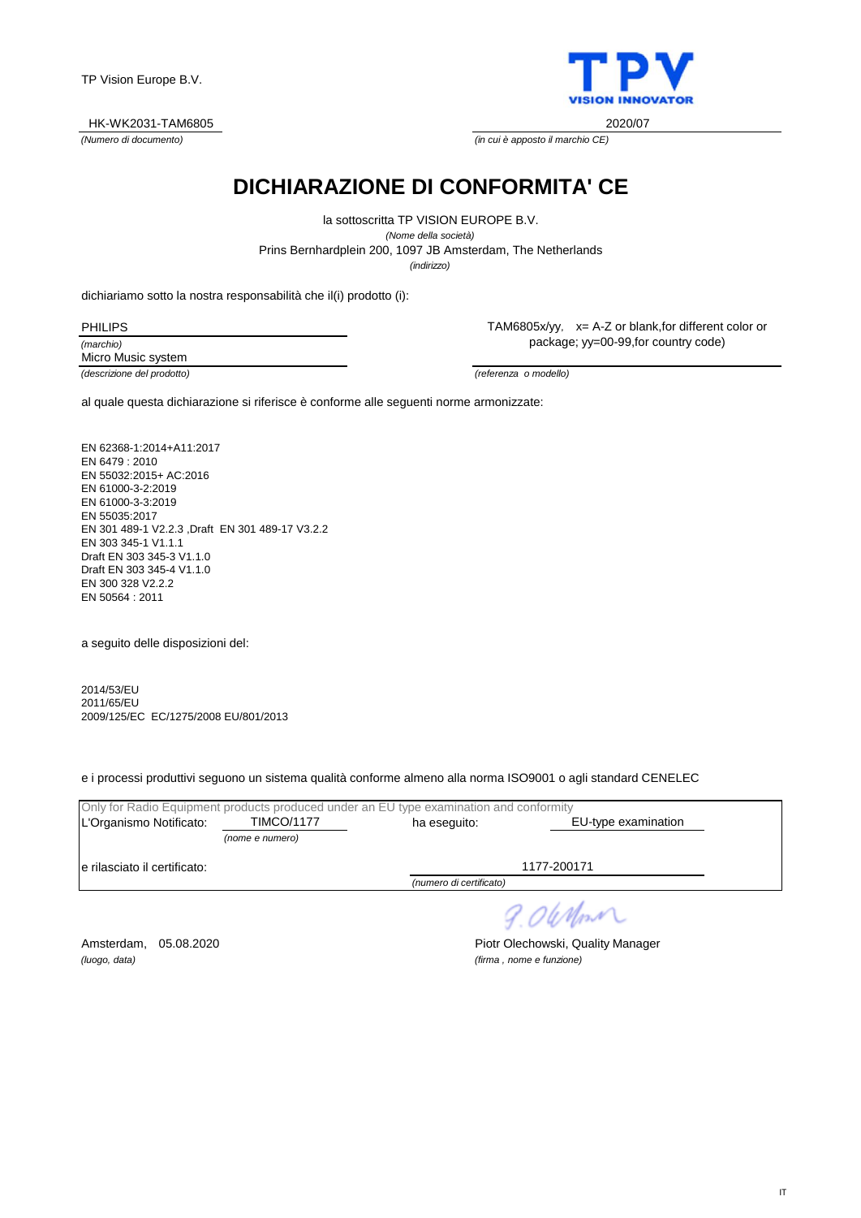

*(Numero di documento) (in cui è apposto il marchio CE)*

## **DICHIARAZIONE DI CONFORMITA' CE**

Prins Bernhardplein 200, 1097 JB Amsterdam, The Netherlands la sottoscritta TP VISION EUROPE B.V. *(Nome della società) (indirizzo)*

dichiariamo sotto la nostra responsabilità che il(i) prodotto (i):

*(marchio) (descrizione del prodotto) (referenza o modello)* PHILIPS Micro Music system

TAM6805x/yy, x= A-Z or blank,for different color or package; yy=00-99,for country code)

al quale questa dichiarazione si riferisce è conforme alle seguenti norme armonizzate:

EN 62368-1:2014+A11:2017 EN 6479 : 2010 EN 55032:2015+ AC:2016 EN 61000-3-2:2019 EN 61000-3-3:2019 EN 55035:2017 EN 301 489-1 V2.2.3 ,Draft EN 301 489-17 V3.2.2 EN 303 345-1 V1.1.1 Draft EN 303 345-3 V1.1.0 Draft EN 303 345-4 V1.1.0 EN 300 328 V2.2.2 EN 50564 : 2011

a seguito delle disposizioni del:

2014/53/EU 2011/65/EU 2009/125/EC EC/1275/2008 EU/801/2013

e i processi produttivi seguono un sistema qualità conforme almeno alla norma ISO9001 o agli standard CENELEC

|                               |                   | Only for Radio Equipment products produced under an EU type examination and conformity |                     |  |
|-------------------------------|-------------------|----------------------------------------------------------------------------------------|---------------------|--|
| L'Organismo Notificato:       | <b>TIMCO/1177</b> | ha eseguito:                                                                           | EU-type examination |  |
|                               | (nome e numero)   |                                                                                        |                     |  |
| le rilasciato il certificato: |                   |                                                                                        | 1177-200171         |  |
| (numero di certificato)       |                   |                                                                                        |                     |  |
|                               |                   |                                                                                        |                     |  |

9.06 Mon

*(luogo, data) (firma , nome e funzione)*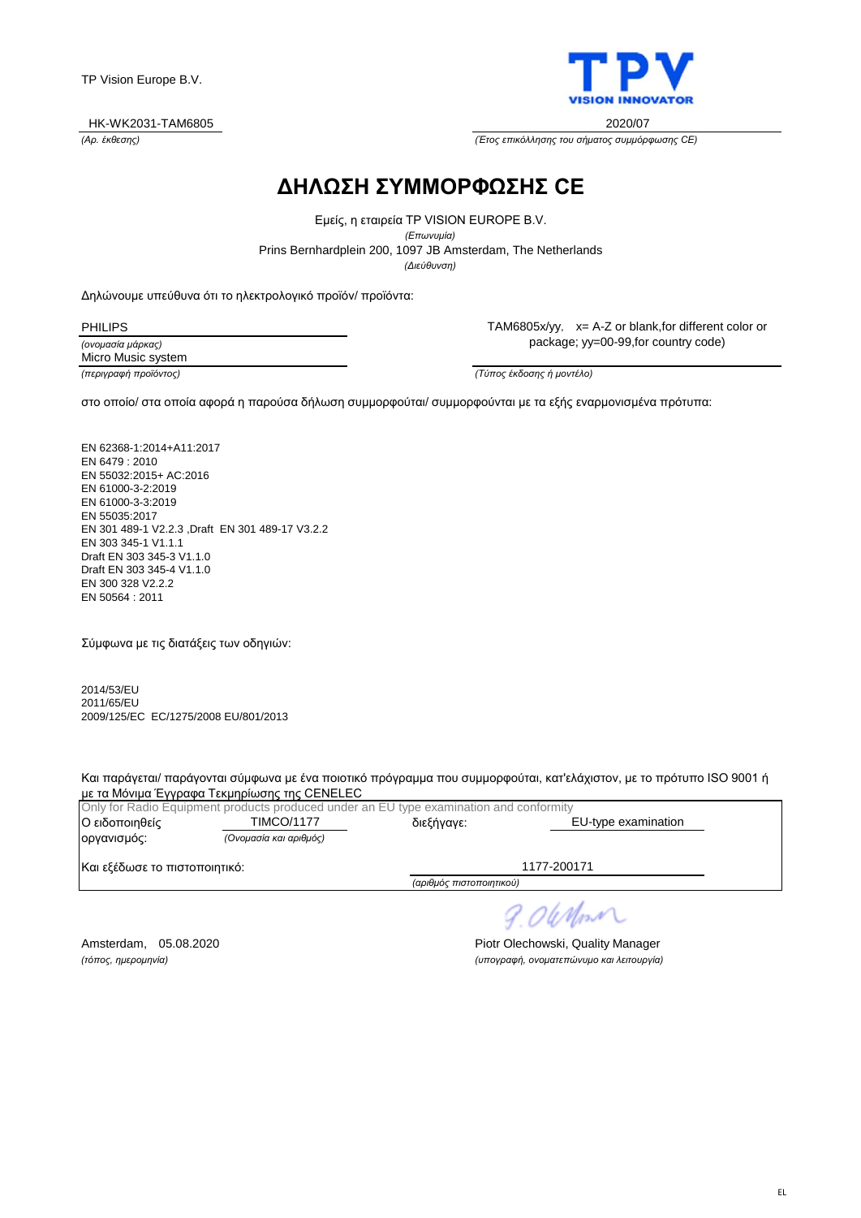

*(Αρ. έκθεσης) (Έτος επικόλλησης του σήματος συμμόρφωσης CE)*

## **ΔΗΛΩΣΗ ΣΥΜΜΟΡΦΩΣΗΣ CE**

Prins Bernhardplein 200, 1097 JB Amsterdam, The Netherlands Εμείς, η εταιρεία TP VISION EUROPE B.V. *(Επωνυμία) (Διεύθυνση)*

Δηλώνουμε υπεύθυνα ότι το ηλεκτρολογικό προϊόν/ προϊόντα:

PHILIPS

*(ονομασία μάρκας) (περιγραφή προϊόντος) (Τύπος έκδοσης ή μοντέλο)* Micro Music system

TAM6805x/yy, x= A-Z or blank,for different color or package; yy=00-99,for country code)

στο οποίο/ στα οποία αφορά η παρούσα δήλωση συμμορφούται/ συμμορφούνται με τα εξής εναρμονισμένα πρότυπα:

EN 62368-1:2014+A11:2017 EN 6479 : 2010 EN 55032:2015+ AC:2016 EN 61000-3-2:2019 EN 61000-3-3:2019 EN 55035:2017 EN 301 489-1 V2.2.3 ,Draft EN 301 489-17 V3.2.2 EN 303 345-1 V1.1.1 Draft EN 303 345-3 V1.1.0 Draft EN 303 345-4 V1.1.0 EN 300 328 V2.2.2 EN 50564 : 2011

Σύμφωνα με τις διατάξεις των οδηγιών:

2014/53/EU 2011/65/EU 2009/125/EC EC/1275/2008 EU/801/2013

Και παράγεται/ παράγονται σύμφωνα με ένα ποιοτικό πρόγραμμα που συμμορφούται, κατ'ελάχιστον, με το πρότυπο ISO 9001 ή με τα Μόνιμα Έγγραφα Τεκμηρίωσης της CENELEC

|                               | Only for Radio Equipment products produced under an EU type examination and conformity |                          |                     |  |
|-------------------------------|----------------------------------------------------------------------------------------|--------------------------|---------------------|--|
| Ο ειδοποιηθείς                | <b>TIMCO/1177</b>                                                                      | διεξήγαγε:               | EU-type examination |  |
| οργανισμός:                   | (Ονομασία και αριθμός)                                                                 |                          |                     |  |
| Και εξέδωσε το πιστοποιητικό: |                                                                                        |                          | 1177-200171         |  |
|                               |                                                                                        | (αριθμός πιστοποιητικού) |                     |  |

9.06 Nm

Amsterdam, 05.08.2020 **Piotr Olechowski, Quality Manager** *(τόπος, ημερομηνία) (υπογραφή, ονοματεπώνυμο και λειτουργία)*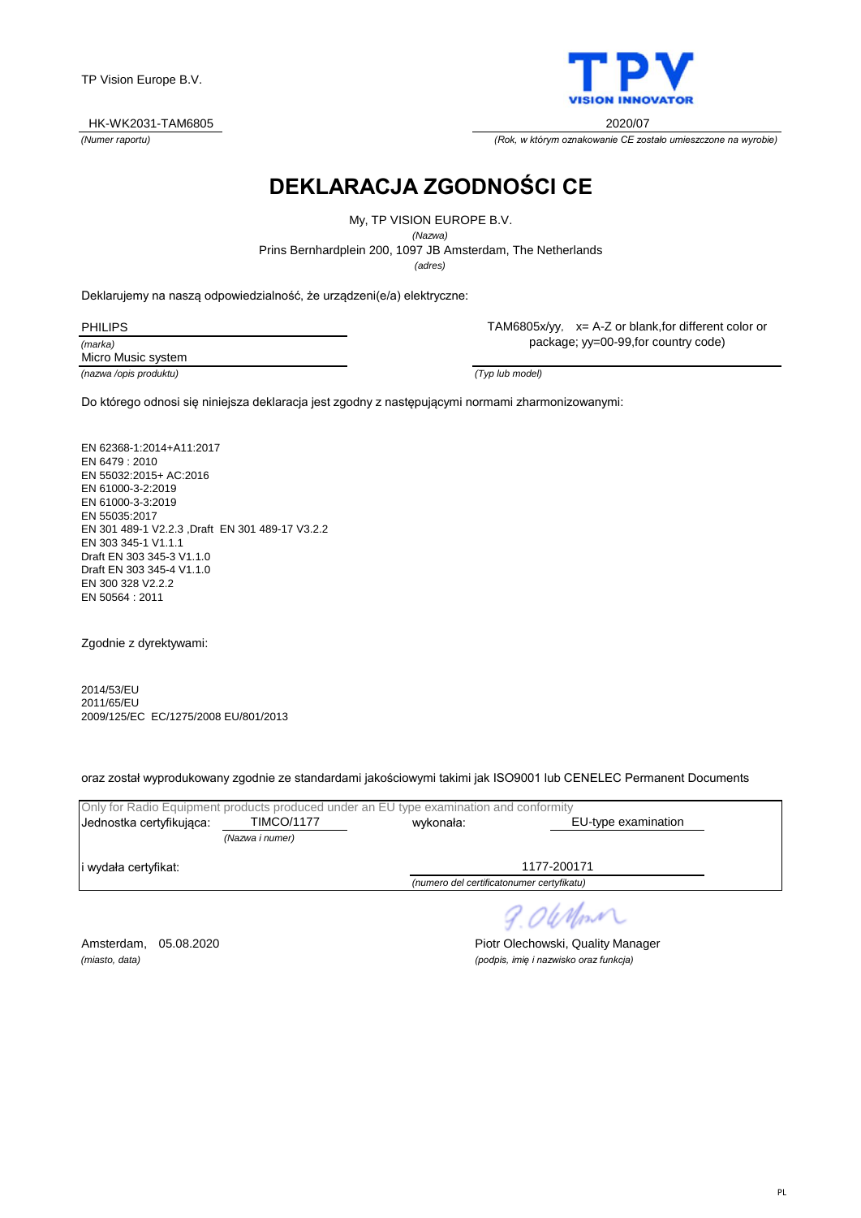

*(Numer raportu) (Rok, w którym oznakowanie CE zostało umieszczone na wyrobie)*

# **DEKLARACJA ZGODNOŚCI CE**

Prins Bernhardplein 200, 1097 JB Amsterdam, The Netherlands My, TP VISION EUROPE B.V. *(Nazwa) (adres)*

Deklarujemy na naszą odpowiedzialność, że urządzeni(e/a) elektryczne:

*(marka)* PHILIPS Micro Music system TAM6805x/yy, x= A-Z or blank,for different color or package; yy=00-99,for country code)

*(nazwa /opis produktu) (Typ lub model)*

Do którego odnosi się niniejsza deklaracja jest zgodny z następującymi normami zharmonizowanymi:

EN 62368-1:2014+A11:2017 EN 6479 : 2010 EN 55032:2015+ AC:2016 EN 61000-3-2:2019 EN 61000-3-3:2019 EN 55035:2017 EN 301 489-1 V2.2.3 ,Draft EN 301 489-17 V3.2.2 EN 303 345-1 V1.1.1 Draft EN 303 345-3 V1.1.0 Draft EN 303 345-4 V1.1.0 EN 300 328 V2.2.2 EN 50564 : 2011

Zgodnie z dyrektywami:

2014/53/EU 2011/65/EU 2009/125/EC EC/1275/2008 EU/801/2013

oraz został wyprodukowany zgodnie ze standardami jakościowymi takimi jak ISO9001 lub CENELEC Permanent Documents

| Only for Radio Equipment products produced under an EU type examination and conformity |                   |                                           |                     |  |  |
|----------------------------------------------------------------------------------------|-------------------|-------------------------------------------|---------------------|--|--|
| Jednostka certyfikujaca:                                                               | <b>TIMCO/1177</b> | wykonała:                                 | EU-type examination |  |  |
|                                                                                        | (Nazwa i numer)   |                                           |                     |  |  |
| i wydała certyfikat:                                                                   |                   |                                           | 1177-200171         |  |  |
|                                                                                        |                   | (numero del certificatonumer certyfikatu) |                     |  |  |

9.06 Mon

Amsterdam, 05.08.2020 **Piotr Olechowski, Quality Manager** *(miasto, data) (podpis, imię i nazwisko oraz funkcja)*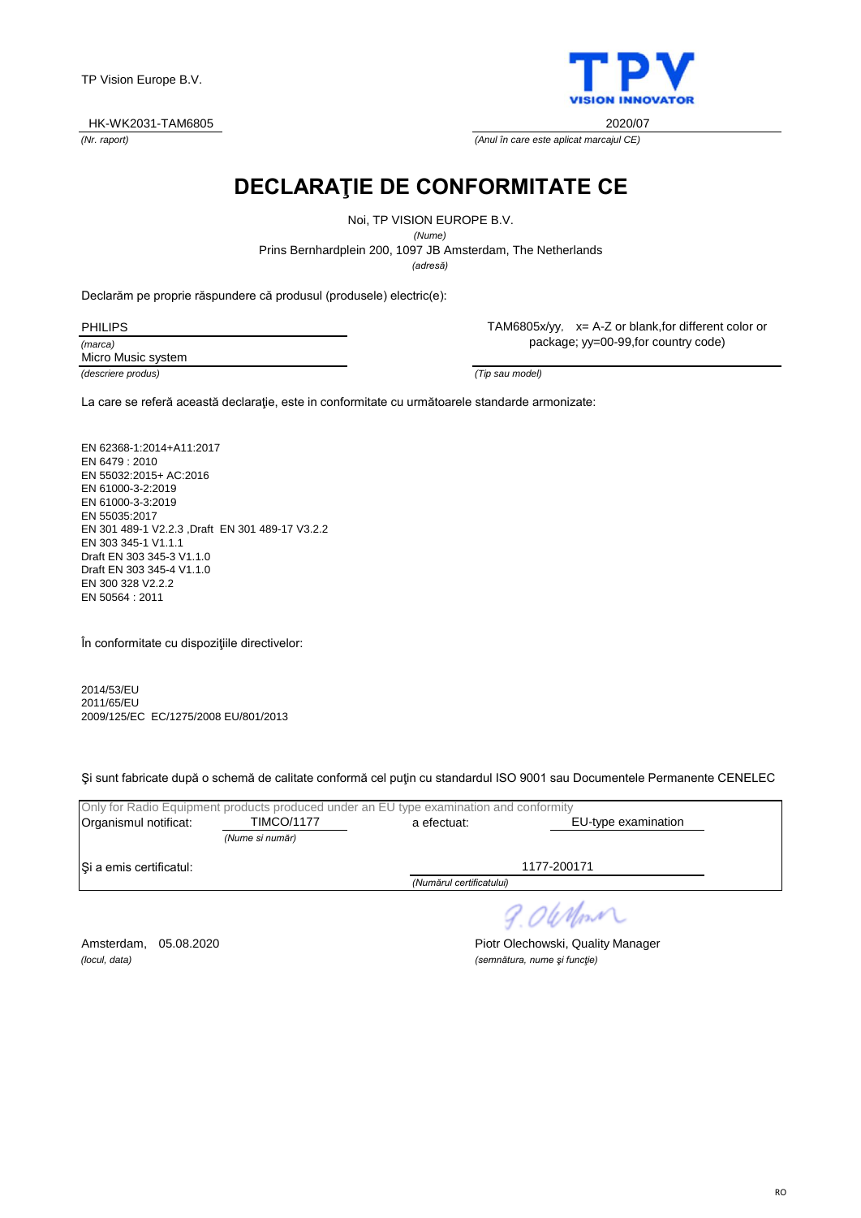TP Vision Europe B.V.

#### HK-WK2031-TAM6805 2020/07

*(Nr. raport) (Anul în care este aplicat marcajul CE)*

**DECLARAŢIE DE CONFORMITATE CE**

Noi, TP VISION EUROPE B.V.

*(Nume)*

Prins Bernhardplein 200, 1097 JB Amsterdam, The Netherlands

*(adresă)*

Declarăm pe proprie răspundere că produsul (produsele) electric(e):

*(marca)* PHILIPS Micro Music system TAM6805x/yy, x= A-Z or blank,for different color or package; yy=00-99,for country code)

*(descriere produs) (Tip sau model)*

La care se referă această declaraţie, este in conformitate cu următoarele standarde armonizate:

EN 62368-1:2014+A11:2017 EN 6479 : 2010 EN 55032:2015+ AC:2016 EN 61000-3-2:2019 EN 61000-3-3:2019 EN 55035:2017 EN 301 489-1 V2.2.3 ,Draft EN 301 489-17 V3.2.2 EN 303 345-1 V1.1.1 Draft EN 303 345-3 V1.1.0 Draft EN 303 345-4 V1.1.0 EN 300 328 V2.2.2 EN 50564 : 2011

În conformitate cu dispoziţiile directivelor:

2014/53/EU 2011/65/EU 2009/125/EC EC/1275/2008 EU/801/2013

Şi sunt fabricate după o schemă de calitate conformă cel puţin cu standardul ISO 9001 sau Documentele Permanente CENELEC

|                         |                   | Only for Radio Equipment products produced under an EU type examination and conformity |                     |
|-------------------------|-------------------|----------------------------------------------------------------------------------------|---------------------|
| Organismul notificat:   | <b>TIMCO/1177</b> | a efectuat:                                                                            | EU-type examination |
|                         | (Nume si număr)   |                                                                                        |                     |
| Si a emis certificatul: |                   |                                                                                        | 1177-200171         |
|                         |                   | (Numărul certificatului)                                                               |                     |
|                         |                   |                                                                                        |                     |

9.06 Nm

*(locul, data) (semnătura, nume şi funcţie)*

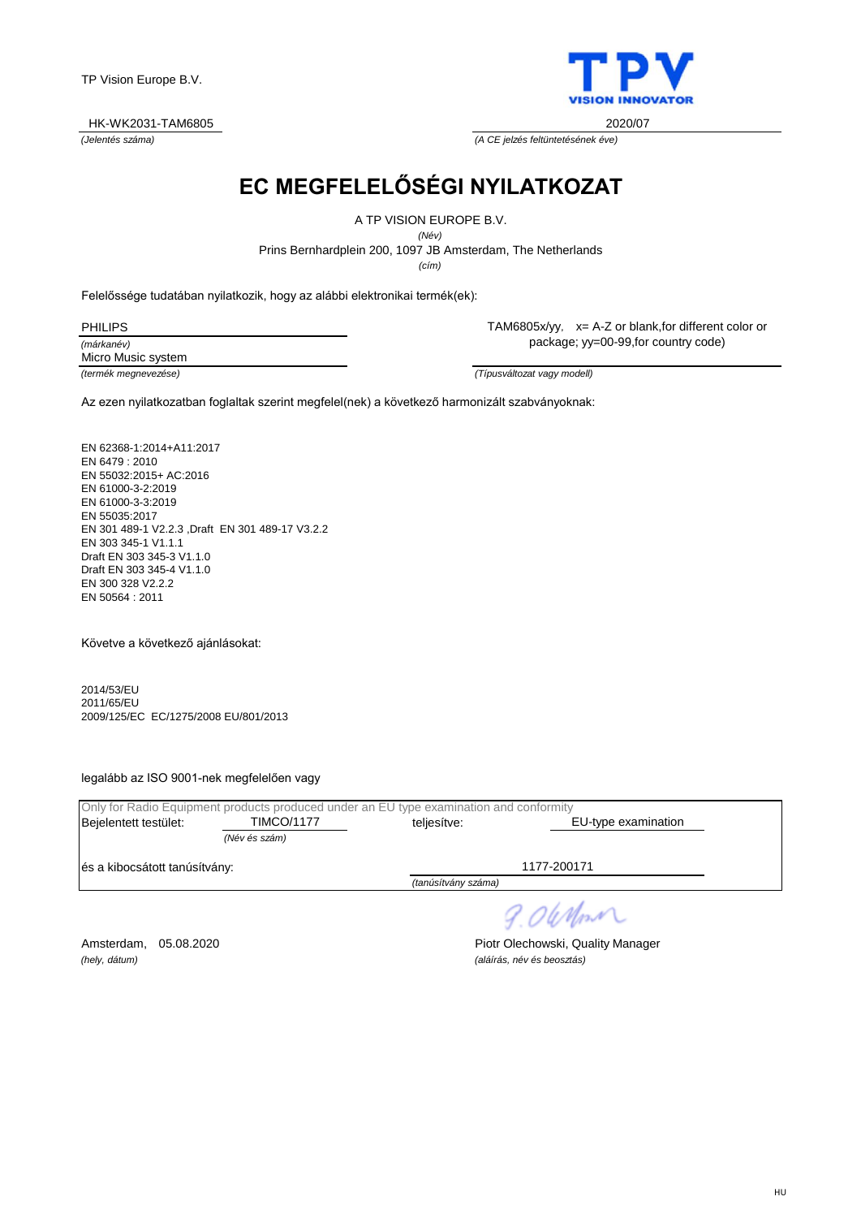TP Vision Europe B.V.

HK-WK2031-TAM6805 2020/07

*(Jelentés száma) (A CE jelzés feltüntetésének éve)*

**EC MEGFELELŐSÉGI NYILATKOZAT**

A TP VISION EUROPE B.V.

*(Név)*

Prins Bernhardplein 200, 1097 JB Amsterdam, The Netherlands

*(cím)*

Felelőssége tudatában nyilatkozik, hogy az alábbi elektronikai termék(ek):

*(márkanév)* PHILIPS Micro Music system TAM6805x/yy, x= A-Z or blank,for different color or package; yy=00-99,for country code)

*(termék megnevezése) (Típusváltozat vagy modell)*

Az ezen nyilatkozatban foglaltak szerint megfelel(nek) a következő harmonizált szabványoknak:

EN 62368-1:2014+A11:2017 EN 6479 : 2010 EN 55032:2015+ AC:2016 EN 61000-3-2:2019 EN 61000-3-3:2019 EN 55035:2017 EN 301 489-1 V2.2.3 ,Draft EN 301 489-17 V3.2.2 EN 303 345-1 V1.1.1 Draft EN 303 345-3 V1.1.0 Draft EN 303 345-4 V1.1.0 EN 300 328 V2.2.2 EN 50564 : 2011

Követve a következő ajánlásokat:

2014/53/EU 2011/65/EU 2009/125/EC EC/1275/2008 EU/801/2013

legalább az ISO 9001-nek megfelelően vagy

| Only for Radio Equipment products produced under an EU type examination and conformity |                   |                     |                     |
|----------------------------------------------------------------------------------------|-------------------|---------------------|---------------------|
| Bejelentett testület:                                                                  | <b>TIMCO/1177</b> | teliesítve:         | EU-type examination |
|                                                                                        | (Név és szám)     |                     |                     |
| es a kibocsátott tanúsítvány:                                                          |                   |                     | 1177-200171         |
|                                                                                        |                   | (tanúsítvány száma) |                     |

9.06 Nm

*(hely, dátum) (aláírás, név és beosztás)*

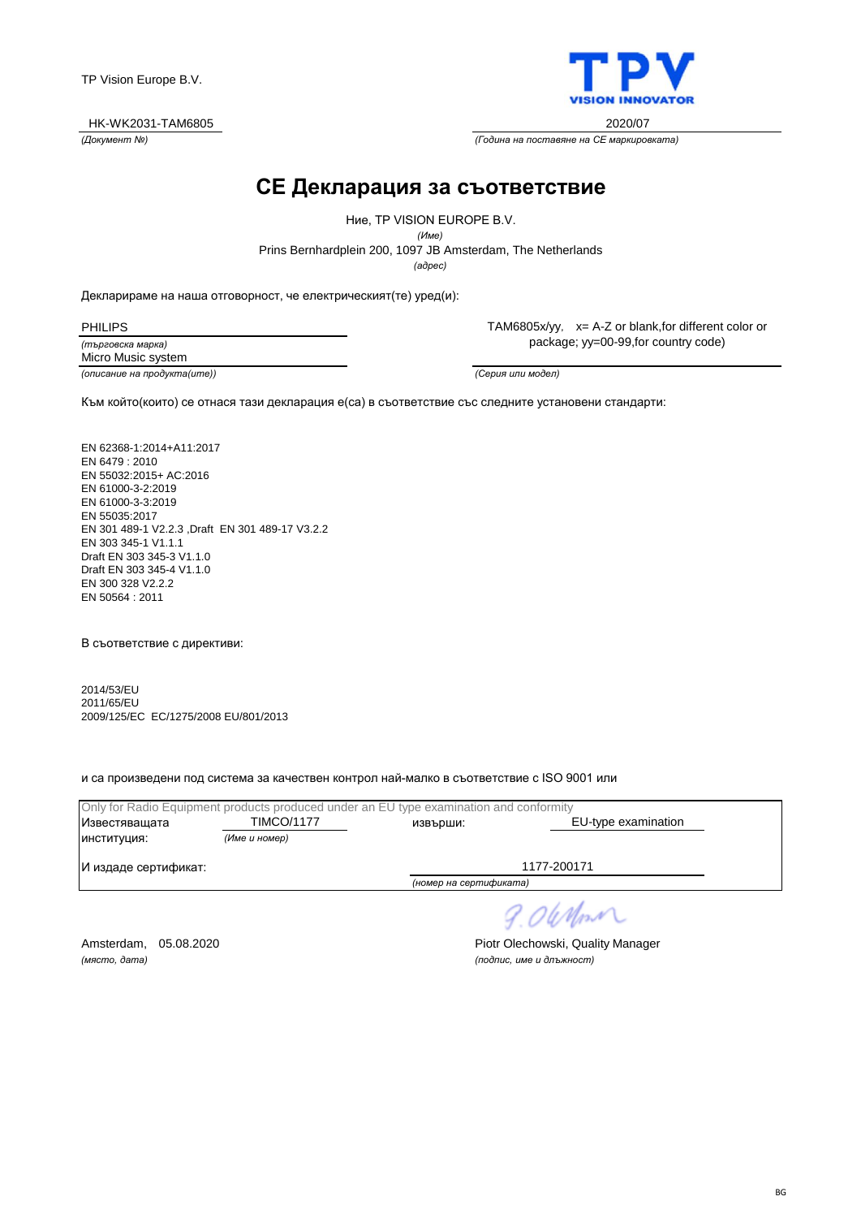**BG** 

TP Vision Europe B.V.

HK-WK2031-TAM6805 2020/07

**CE Декларация за съответствие**

*(адрес)* Prins Bernhardplein 200, 1097 JB Amsterdam, The Netherlands Ние, TP VISION EUROPE B.V. *(Име)*

Декларираме на наша отговорност, че електрическият(те) уред(и):

*(търговска марка)* PHILIPS Micro Music system

*(описание на продукта(ите)) (Серия или модел)*

TAM6805x/yy, x= A-Z or blank,for different color or package; yy=00-99,for country code)

Към който(които) се отнася тази декларация е(са) в съответствие със следните установени стандарти:

EN 62368-1:2014+A11:2017 EN 6479 : 2010 EN 55032:2015+ AC:2016 EN 61000-3-2:2019 EN 61000-3-3:2019 EN 55035:2017 EN 301 489-1 V2.2.3 ,Draft EN 301 489-17 V3.2.2 EN 303 345-1 V1.1.1 Draft EN 303 345-3 V1.1.0 Draft EN 303 345-4 V1.1.0 EN 300 328 V2.2.2 EN 50564 : 2011

В съответствие с директиви:

2014/53/EU 2011/65/EU 2009/125/EC EC/1275/2008 EU/801/2013

и са произведени под система за качествен контрол най-малко в съответствие с ISO 9001 или

| Only for Radio Equipment products produced under an EU type examination and conformity |                   |                        |                     |
|----------------------------------------------------------------------------------------|-------------------|------------------------|---------------------|
| Известяващата                                                                          | <b>TIMCO/1177</b> | извърши:               | EU-type examination |
| ИНСТИТУЦИЯ:                                                                            | (Име и номер)     |                        |                     |
| И издаде сертификат:                                                                   |                   |                        | 1177-200171         |
|                                                                                        |                   | (номер на сертификата) |                     |

*(място, дата) (подпис, име и длъжност)*

Amsterdam, 05.08.2020 **Piotr Olechowski, Quality Manager** 

9.06 Nm



*(Документ №) (Година на поставяне на CE маркировката)*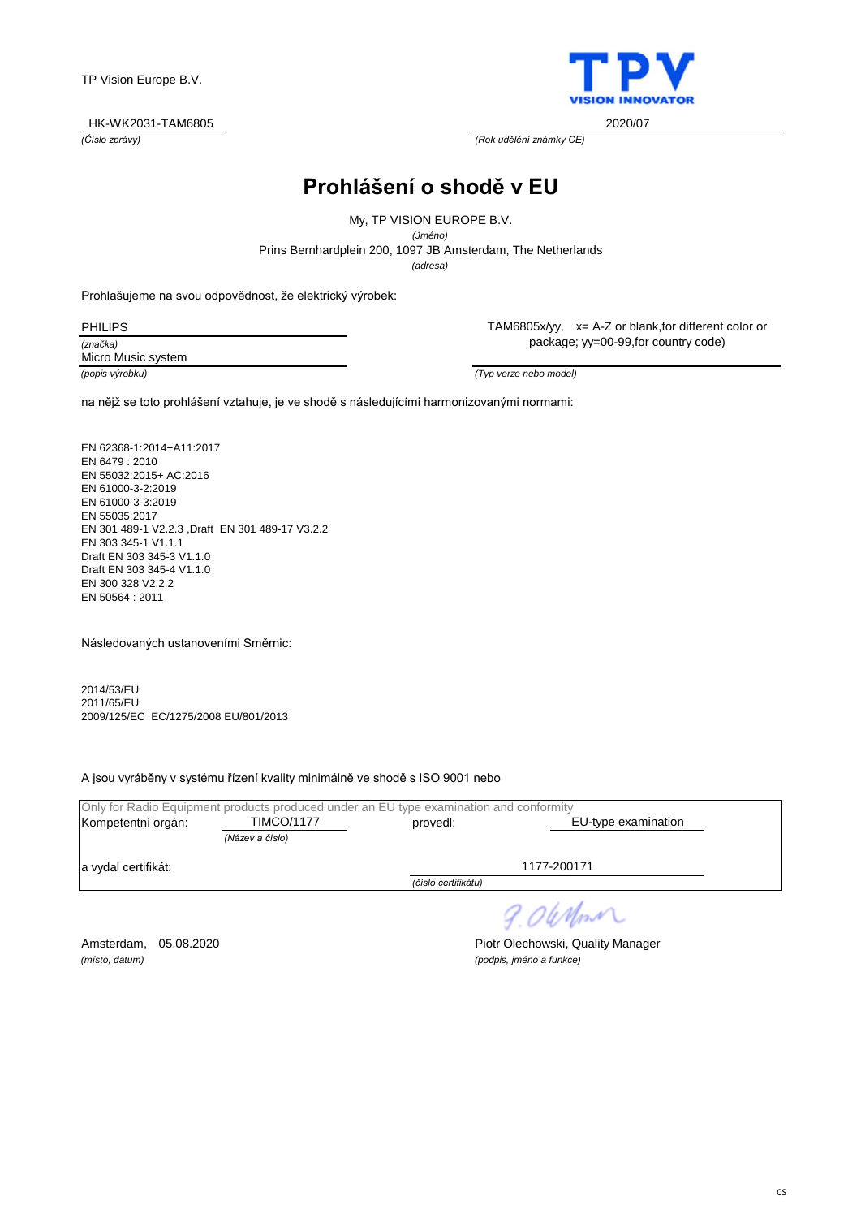$\mathsf{C}$ 

TP Vision Europe B.V.

*(Číslo zprávy) (Rok udělění známky CE)*

**Prohlášení o shodě v EU**

*(adresa)* Prins Bernhardplein 200, 1097 JB Amsterdam, The Netherlands My, TP VISION EUROPE B.V. *(Jméno)*

Prohlašujeme na svou odpovědnost, že elektrický výrobek:

*(značka)* Micro Music system TAM6805x/yy, x= A-Z or blank,for different color or package; yy=00-99,for country code)

*(popis výrobku) (Typ verze nebo model)*

na nějž se toto prohlášení vztahuje, je ve shodě s následujícími harmonizovanými normami:

EN 62368-1:2014+A11:2017 EN 6479 : 2010 EN 55032:2015+ AC:2016 EN 61000-3-2:2019 EN 61000-3-3:2019 EN 55035:2017 EN 301 489-1 V2.2.3 ,Draft EN 301 489-17 V3.2.2 EN 303 345-1 V1.1.1 Draft EN 303 345-3 V1.1.0 Draft EN 303 345-4 V1.1.0 EN 300 328 V2.2.2 EN 50564 : 2011

Následovaných ustanoveními Směrnic:

2014/53/EU 2011/65/EU 2009/125/EC EC/1275/2008 EU/801/2013

A jsou vyráběny v systému řízení kvality minimálně ve shodě s ISO 9001 nebo

|                     |                   | Only for Radio Equipment products produced under an EU type examination and conformity |                     |
|---------------------|-------------------|----------------------------------------------------------------------------------------|---------------------|
| Kompetentní orgán:  | <b>TIMCO/1177</b> | proved:                                                                                | EU-type examination |
|                     | (Název a číslo)   |                                                                                        |                     |
| a vydal certifikát: |                   |                                                                                        | 1177-200171         |
|                     |                   | (číslo certifikátu)                                                                    |                     |
|                     |                   |                                                                                        |                     |

9.06 Nm

*(místo, datum) (podpis, jméno a funkce)*

Amsterdam, 05.08.2020 **Piotr Olechowski, Quality Manager** 



HK-WK2031-TAM6805 2020/07

PHILIPS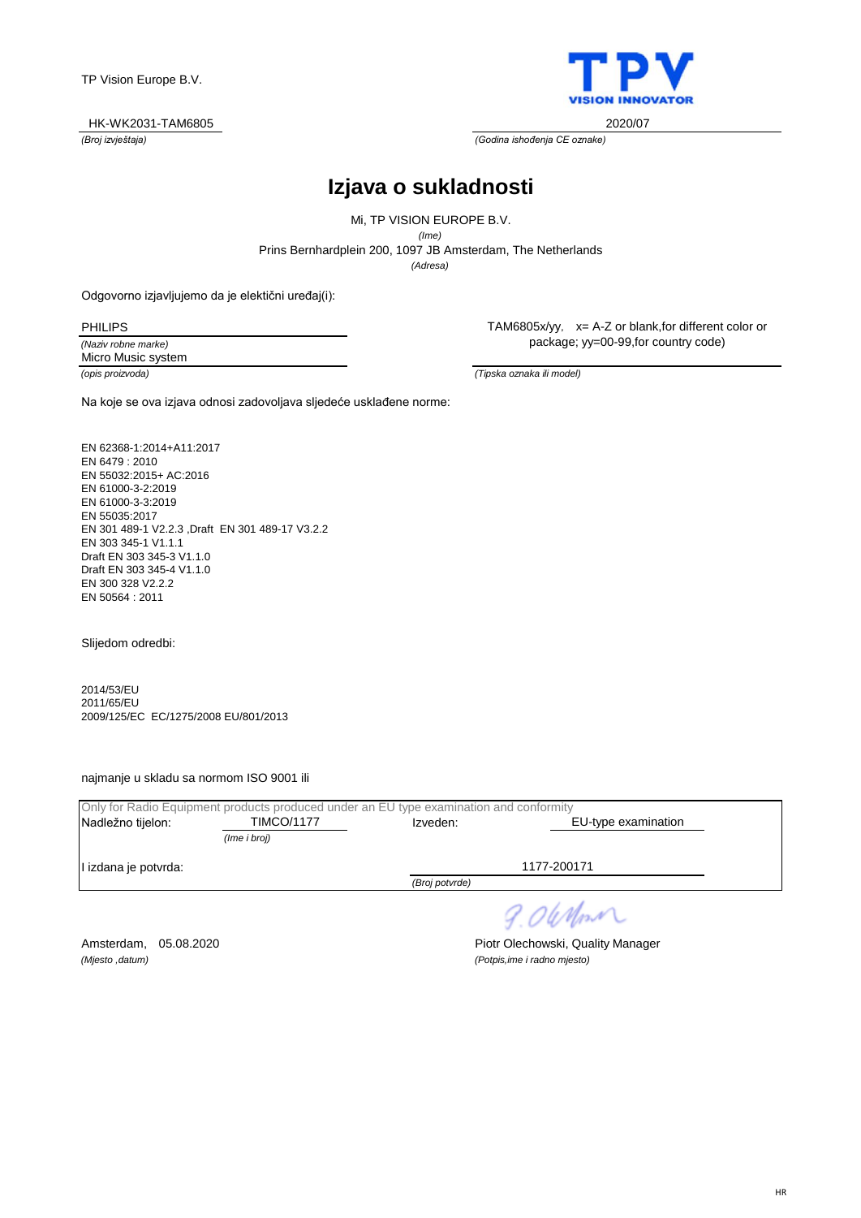

*(Broj izvještaja) (Godina ishođenja CE oznake)*

# **Izjava o sukladnosti**

*(Adresa)* Prins Bernhardplein 200, 1097 JB Amsterdam, The Netherlands Mi, TP VISION EUROPE B.V. *(Ime)*

Odgovorno izjavljujemo da je elektični uređaj(i):

PHILIPS

*(Naziv robne marke)* Micro Music system

TAM6805x/yy, x= A-Z or blank,for different color or package; yy=00-99,for country code)

*(opis proizvoda) (Tipska oznaka ili model)*

Na koje se ova izjava odnosi zadovoljava sljedeće usklađene norme:

EN 62368-1:2014+A11:2017 EN 6479 : 2010 EN 55032:2015+ AC:2016 EN 61000-3-2:2019 EN 61000-3-3:2019 EN 55035:2017 EN 301 489-1 V2.2.3 ,Draft EN 301 489-17 V3.2.2 EN 303 345-1 V1.1.1 Draft EN 303 345-3 V1.1.0 Draft EN 303 345-4 V1.1.0 EN 300 328 V2.2.2 EN 50564 : 2011

Slijedom odredbi:

2014/53/EU 2011/65/EU 2009/125/EC EC/1275/2008 EU/801/2013

najmanje u skladu sa normom ISO 9001 ili

|                      | Only for Radio Equipment products produced under an EU type examination and conformity |                |                     |
|----------------------|----------------------------------------------------------------------------------------|----------------|---------------------|
| Nadležno tijelon:    | <b>TIMCO/1177</b>                                                                      | Izveden:       | EU-type examination |
|                      | (Ime i broj)                                                                           |                |                     |
| l izdana je potvrda: |                                                                                        |                | 1177-200171         |
|                      |                                                                                        | (Broj potvrde) |                     |
|                      |                                                                                        |                |                     |

9.06 Nm

*(Mjesto ,datum) (Potpis,ime i radno mjesto)*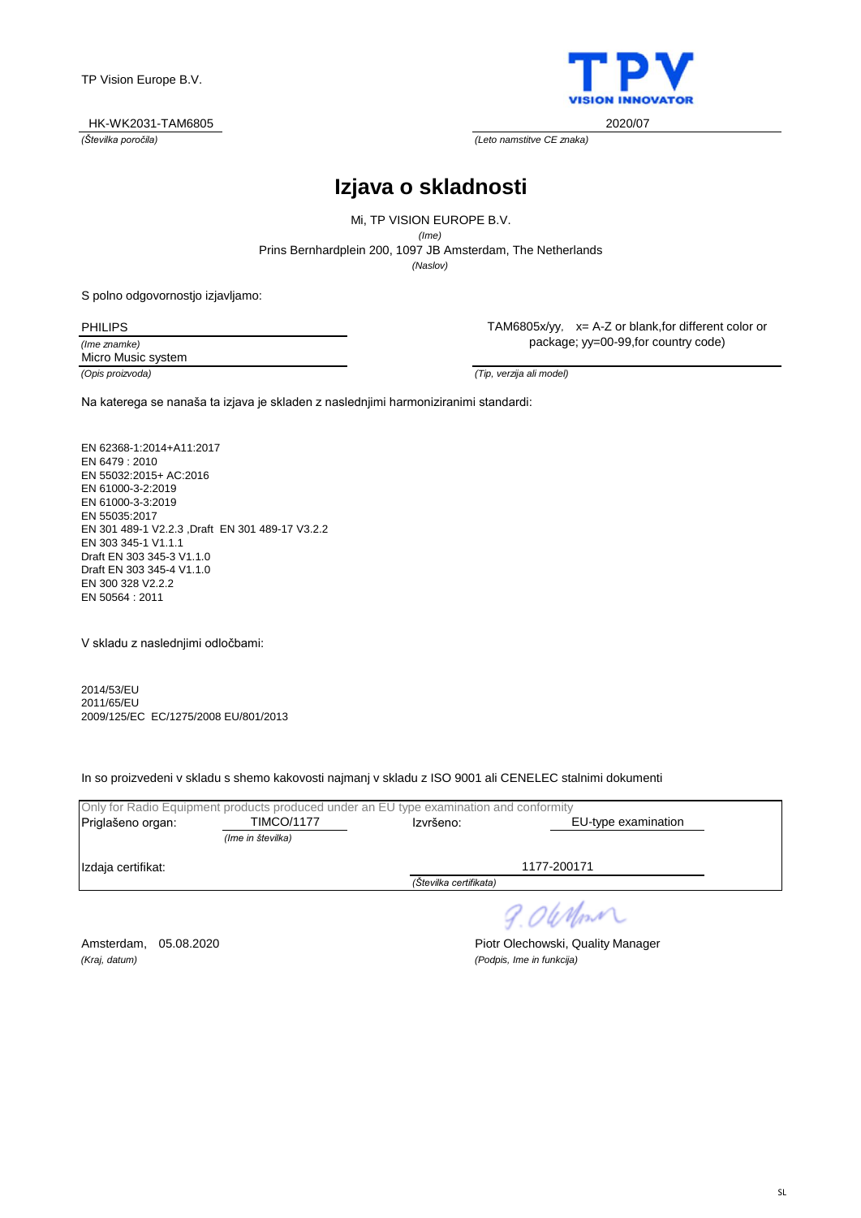

*(Številka poročila) (Leto namstitve CE znaka)*

# **Izjava o skladnosti**

*(Naslov)* Prins Bernhardplein 200, 1097 JB Amsterdam, The Netherlands Mi, TP VISION EUROPE B.V. *(Ime)*

S polno odgovornostjo izjavljamo:

*(Ime znamke)* PHILIPS

TAM6805x/yy, x= A-Z or blank,for different color or package; yy=00-99,for country code)

Micro Music system

*(Opis proizvoda) (Tip, verzija ali model)*

Na katerega se nanaša ta izjava je skladen z naslednjimi harmoniziranimi standardi:

EN 62368-1:2014+A11:2017 EN 6479 : 2010 EN 55032:2015+ AC:2016 EN 61000-3-2:2019 EN 61000-3-3:2019 EN 55035:2017 EN 301 489-1 V2.2.3 ,Draft EN 301 489-17 V3.2.2 EN 303 345-1 V1.1.1 Draft EN 303 345-3 V1.1.0 Draft EN 303 345-4 V1.1.0 EN 300 328 V2.2.2 EN 50564 : 2011

V skladu z naslednjimi odločbami:

2014/53/EU 2011/65/EU 2009/125/EC EC/1275/2008 EU/801/2013

In so proizvedeni v skladu s shemo kakovosti najmanj v skladu z ISO 9001 ali CENELEC stalnimi dokumenti

|                    | Only for Radio Equipment products produced under an EU type examination and conformity |                        |                     |
|--------------------|----------------------------------------------------------------------------------------|------------------------|---------------------|
| Priglašeno organ:  | <b>TIMCO/1177</b>                                                                      | Izvršeno:              | EU-type examination |
|                    | (Ime in številka)                                                                      |                        |                     |
| Izdaja certifikat: |                                                                                        |                        | 1177-200171         |
|                    |                                                                                        | (Številka certifikata) |                     |
|                    |                                                                                        |                        |                     |

9.06 Mon

*(Kraj, datum) (Podpis, Ime in funkcija)*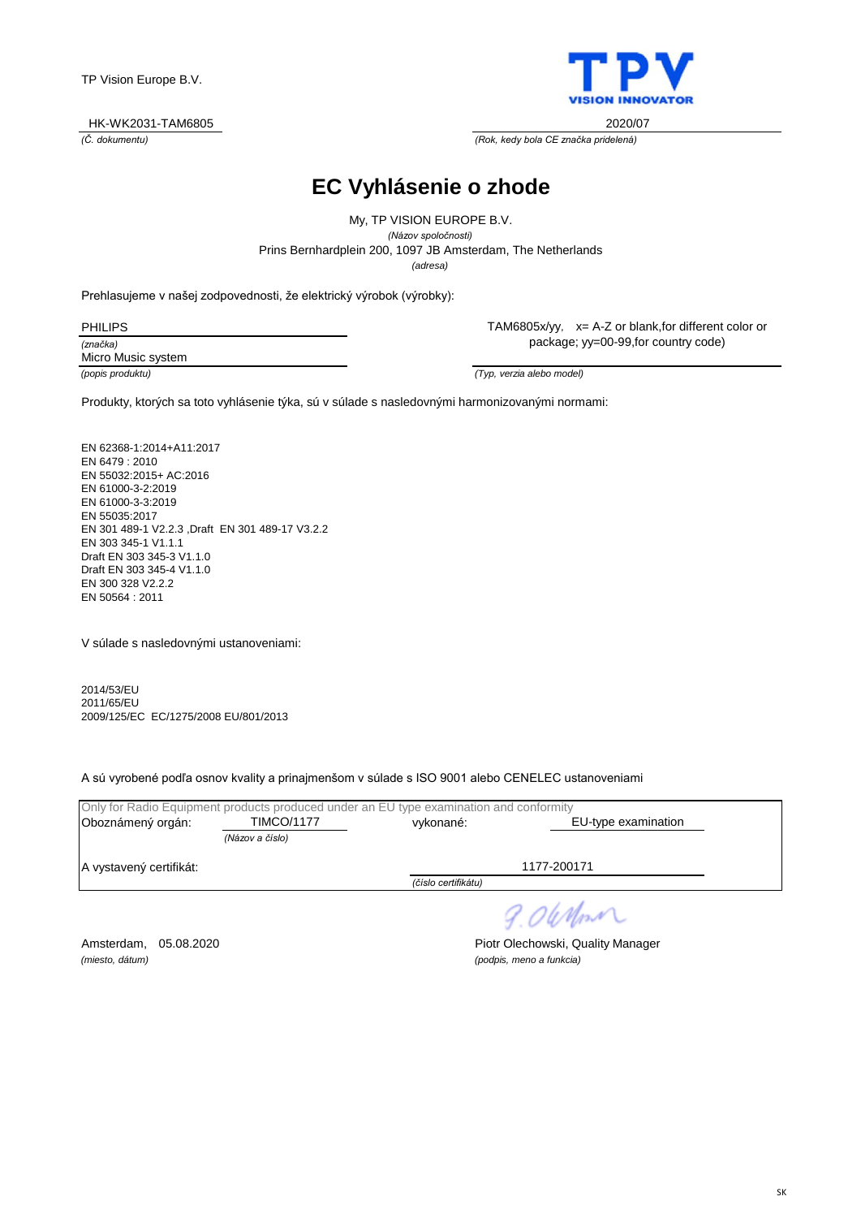

*(Č. dokumentu) (Rok, kedy bola CE značka pridelená)*

**EC Vyhlásenie o zhode**

*(adresa)* Prins Bernhardplein 200, 1097 JB Amsterdam, The Netherlands My, TP VISION EUROPE B.V. *(Názov spoločnosti)*

Prehlasujeme v našej zodpovednosti, že elektrický výrobok (výrobky):

| <b>PHILIPS</b>     |  |
|--------------------|--|
| (značka)           |  |
| Micro Music system |  |
|                    |  |

TAM6805x/yy, x= A-Z or blank,for different color or package; yy=00-99,for country code)

*(popis produktu) (Typ, verzia alebo model)*

Produkty, ktorých sa toto vyhlásenie týka, sú v súlade s nasledovnými harmonizovanými normami:

EN 62368-1:2014+A11:2017 EN 6479 : 2010 EN 55032:2015+ AC:2016 EN 61000-3-2:2019 EN 61000-3-3:2019 EN 55035:2017 EN 301 489-1 V2.2.3 ,Draft EN 301 489-17 V3.2.2 EN 303 345-1 V1.1.1 Draft EN 303 345-3 V1.1.0 Draft EN 303 345-4 V1.1.0 EN 300 328 V2.2.2 EN 50564 : 2011

V súlade s nasledovnými ustanoveniami:

2014/53/EU 2011/65/EU 2009/125/EC EC/1275/2008 EU/801/2013

A sú vyrobené podľa osnov kvality a prinajmenšom v súlade s ISO 9001 alebo CENELEC ustanoveniami

|                         |                   | Only for Radio Equipment products produced under an EU type examination and conformity |                     |
|-------------------------|-------------------|----------------------------------------------------------------------------------------|---------------------|
| Oboznámený orgán:       | <b>TIMCO/1177</b> | vykonané:                                                                              | EU-type examination |
|                         | (Názov a číslo)   |                                                                                        |                     |
| A vystavený certifikát: |                   |                                                                                        | 1177-200171         |
|                         |                   | (číslo certifikátu)                                                                    |                     |
|                         |                   |                                                                                        |                     |

9.06 Mon

*(miesto, dátum) (podpis, meno a funkcia)*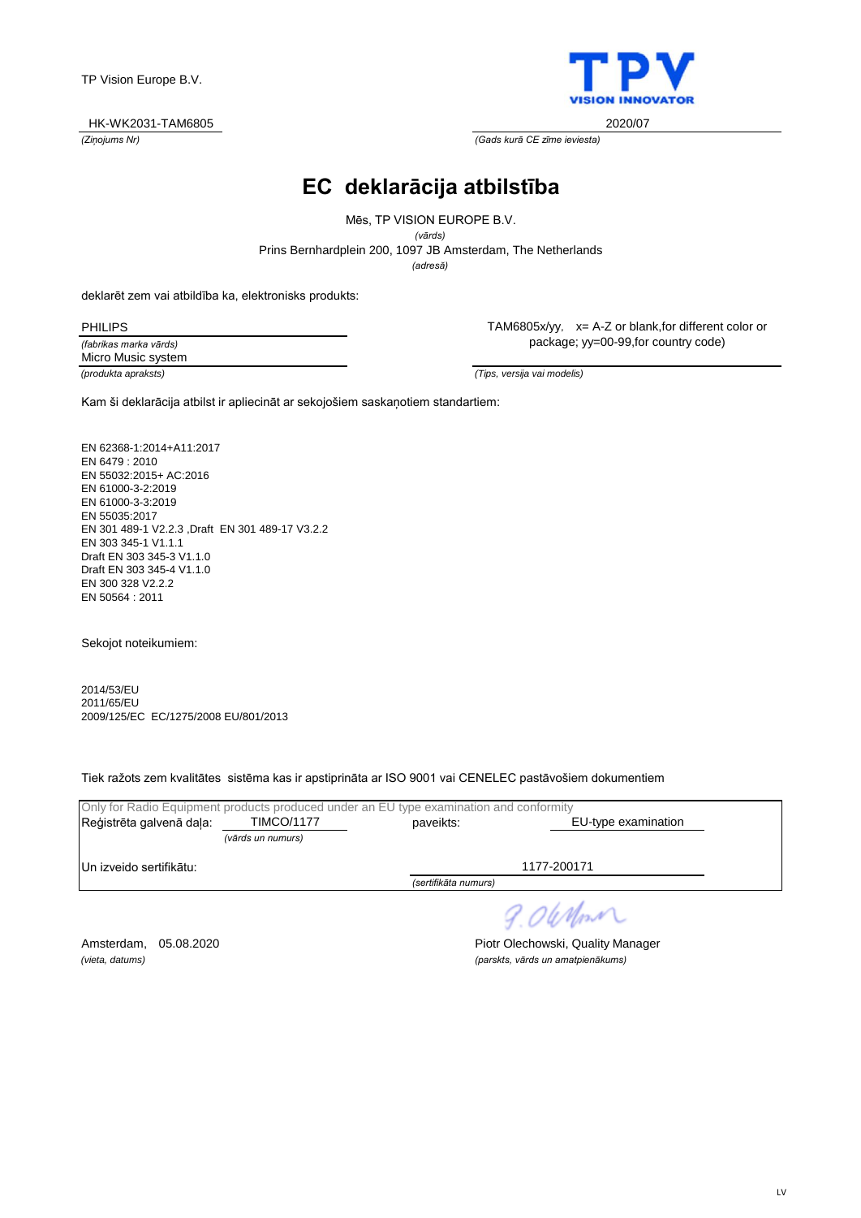

*(Ziņojums Nr) (Gads kurā CE zīme ieviesta)*

# **EC deklarācija atbilstība**

*(adresă)* Prins Bernhardplein 200, 1097 JB Amsterdam, The Netherlands Mēs, TP VISION EUROPE B.V. *(vārds)*

deklarēt zem vai atbildība ka, elektronisks produkts:

PHILIPS

*(fabrikas marka vārds) (produkta apraksts) (Tips, versija vai modelis)* Micro Music system

TAM6805x/yy, x= A-Z or blank,for different color or package; yy=00-99,for country code)

Kam ši deklarācija atbilst ir apliecināt ar sekojošiem saskaņotiem standartiem:

EN 62368-1:2014+A11:2017 EN 6479 : 2010 EN 55032:2015+ AC:2016 EN 61000-3-2:2019 EN 61000-3-3:2019 EN 55035:2017 EN 301 489-1 V2.2.3 ,Draft EN 301 489-17 V3.2.2 EN 303 345-1 V1.1.1 Draft EN 303 345-3 V1.1.0 Draft EN 303 345-4 V1.1.0 EN 300 328 V2.2.2 EN 50564 : 2011

Sekojot noteikumiem:

2014/53/EU 2011/65/EU 2009/125/EC EC/1275/2008 EU/801/2013

Tiek ražots zem kvalitātes sistēma kas ir apstiprināta ar ISO 9001 vai CENELEC pastāvošiem dokumentiem

| Only for Radio Equipment products produced under an EU type examination and conformity |                   |                      |                     |  |
|----------------------------------------------------------------------------------------|-------------------|----------------------|---------------------|--|
| Reģistrēta galvenā daļa:                                                               | <b>TIMCO/1177</b> | paveikts:            | EU-type examination |  |
|                                                                                        | (vārds un numurs) |                      |                     |  |
| Un izveido sertifikātu:                                                                |                   |                      | 1177-200171         |  |
|                                                                                        |                   | (sertifikāta numurs) |                     |  |
|                                                                                        |                   |                      |                     |  |

9.06 Nm

Amsterdam, 05.08.2020 **Piotr Olechowski, Quality Manager** *(vieta, datums) (parskts, vārds un amatpienākums)*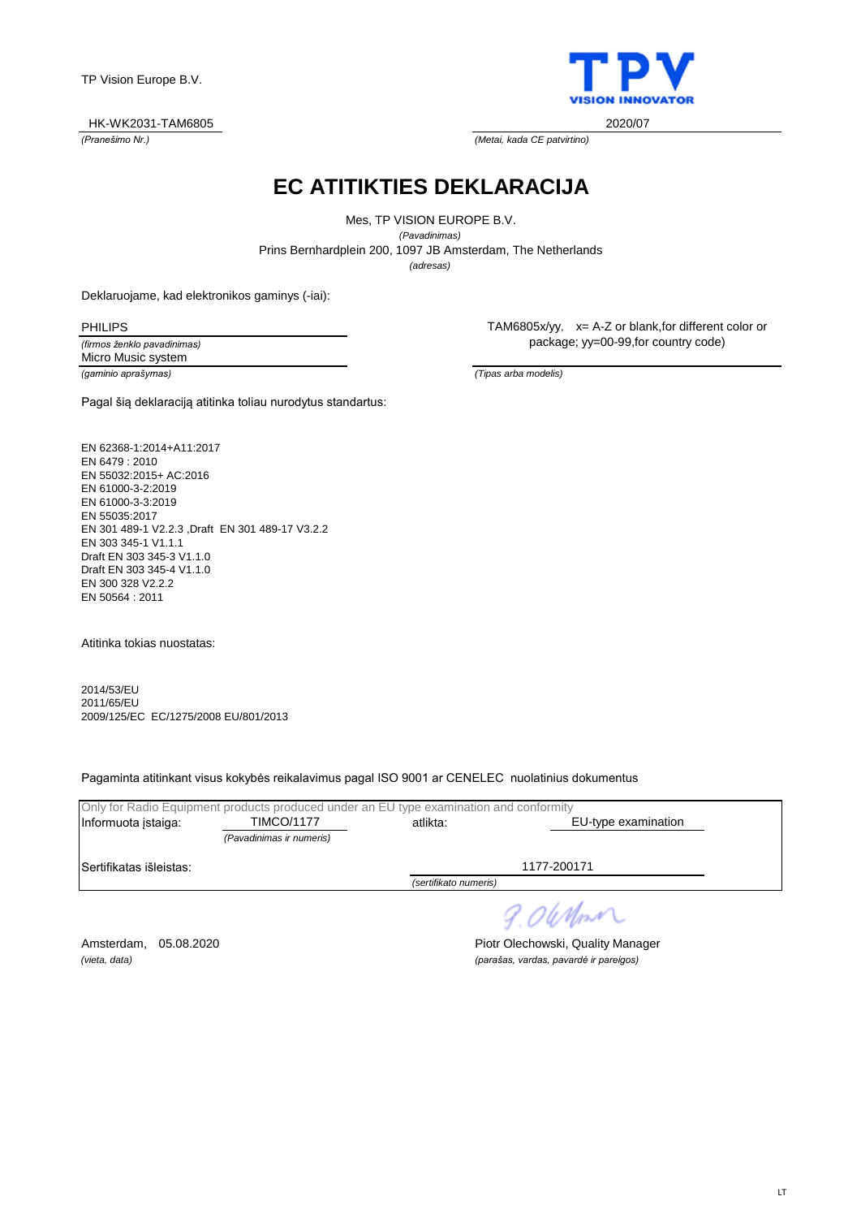LT

TP Vision Europe B.V.

*(Pranešimo Nr.) (Metai, kada CE patvirtino)* HK-WK2031-TAM6805 2020/07

**EC ATITIKTIES DEKLARACIJA**

*(adresas)* Prins Bernhardplein 200, 1097 JB Amsterdam, The Netherlands Mes, TP VISION EUROPE B.V. *(Pavadinimas)*

Deklaruojame, kad elektronikos gaminys (-iai):

PHILIPS

*(firmos ženklo pavadinimas) (gaminio aprašymas) (Tipas arba modelis)* Micro Music system

Pagal šią deklaraciją atitinka toliau nurodytus standartus:

EN 62368-1:2014+A11:2017 EN 6479 : 2010 EN 55032:2015+ AC:2016 EN 61000-3-2:2019 EN 61000-3-3:2019 EN 55035:2017 EN 301 489-1 V2.2.3 ,Draft EN 301 489-17 V3.2.2 EN 303 345-1 V1.1.1 Draft EN 303 345-3 V1.1.0 Draft EN 303 345-4 V1.1.0 EN 300 328 V2.2.2 EN 50564 : 2011

Atitinka tokias nuostatas:

2014/53/EU 2011/65/EU 2009/125/EC EC/1275/2008 EU/801/2013

Pagaminta atitinkant visus kokybės reikalavimus pagal ISO 9001 ar CENELEC nuolatinius dokumentus

|                         | Only for Radio Equipment products produced under an EU type examination and conformity |                       |                     |
|-------------------------|----------------------------------------------------------------------------------------|-----------------------|---------------------|
| Informuota istaiga:     | <b>TIMCO/1177</b>                                                                      | atlikta:              | EU-type examination |
|                         | (Pavadinimas ir numeris)                                                               |                       |                     |
| Sertifikatas išleistas: |                                                                                        |                       | 1177-200171         |
|                         |                                                                                        | (sertifikato numeris) |                     |
|                         |                                                                                        |                       | 9.0 When            |

Amsterdam, 05.08.2020 **Piotr Olechowski, Quality Manager** *(vieta, data) (parašas, vardas, pavardė ir pareigos)*

TAM6805x/yy, x= A-Z or blank,for different color or package; yy=00-99,for country code)